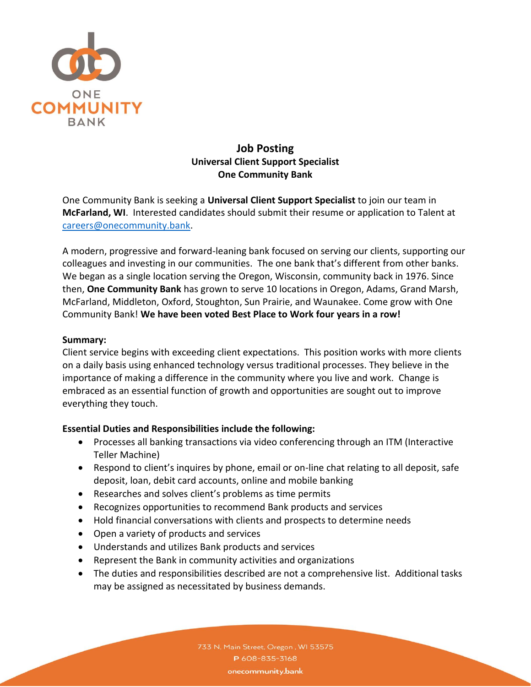

# **Job Posting Universal Client Support Specialist One Community Bank**

One Community Bank is seeking a **Universal Client Support Specialist** to join our team in **McFarland, WI**. Interested candidates should submit their resume or application to Talent at [careers@onecommunity.bank.](mailto:careers@onecommunity.bank)

A modern, progressive and forward-leaning bank focused on serving our clients, supporting our colleagues and investing in our communities. The one bank that's different from other banks. We began as a single location serving the Oregon, Wisconsin, community back in 1976. Since then, **One Community Bank** has grown to serve 10 locations in Oregon, Adams, Grand Marsh, McFarland, Middleton, Oxford, Stoughton, Sun Prairie, and Waunakee. Come grow with One Community Bank! **We have been voted Best Place to Work four years in a row!**

#### **Summary:**

Client service begins with exceeding client expectations. This position works with more clients on a daily basis using enhanced technology versus traditional processes. They believe in the importance of making a difference in the community where you live and work. Change is embraced as an essential function of growth and opportunities are sought out to improve everything they touch.

#### **Essential Duties and Responsibilities include the following:**

- Processes all banking transactions via video conferencing through an ITM (Interactive Teller Machine)
- Respond to client's inquires by phone, email or on-line chat relating to all deposit, safe deposit, loan, debit card accounts, online and mobile banking
- Researches and solves client's problems as time permits
- Recognizes opportunities to recommend Bank products and services
- Hold financial conversations with clients and prospects to determine needs
- Open a variety of products and services
- Understands and utilizes Bank products and services
- Represent the Bank in community activities and organizations
- The duties and responsibilities described are not a comprehensive list. Additional tasks may be assigned as necessitated by business demands.

733 N. Main Street, Oregon, WI 53575 P608-835-3168 onecommunity.bank